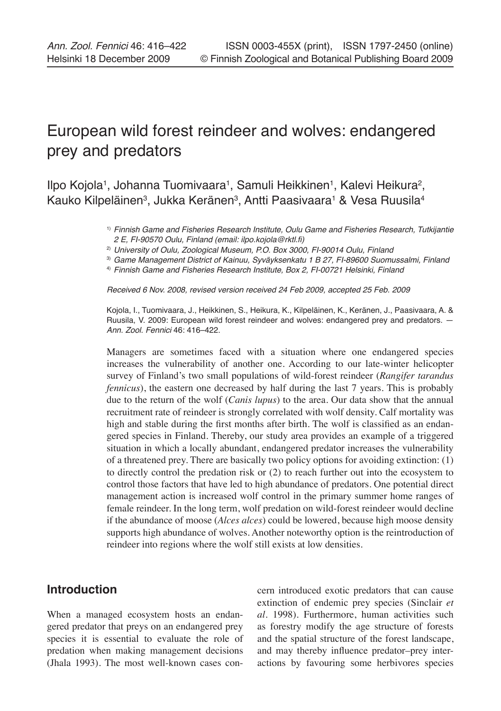# European wild forest reindeer and wolves: endangered prey and predators

llpo Kojola<sup>1</sup>, Johanna Tuomivaara<sup>1</sup>, Samuli Heikkinen<sup>1</sup>, Kalevi Heikura<sup>2</sup>, Kauko Kilpeläinen $^3$ , Jukka Keränen $^3$ , Antti Paasivaara $^1$  & Vesa Ruusila $^4$ 

> 1) Finnish Game and Fisheries Research Institute, Oulu Game and Fisheries Research, Tutkijantie 2 E, FI-90570 Oulu, Finland (email: ilpo.kojola@rktl.fi)

<sup>2)</sup> University of Oulu, Zoological Museum, P.O. Box 3000, FI-90014 Oulu, Finland

<sup>3)</sup> Game Management District of Kainuu, Syväyksenkatu 1 B 27, FI-89600 Suomussalmi, Finland

4) Finnish Game and Fisheries Research Institute, Box 2, FI-00721 Helsinki, Finland

Received 6 Nov. 2008, revised version received 24 Feb 2009, accepted 25 Feb. 2009

Kojola, I., Tuomivaara, J., Heikkinen, S., Heikura, K., Kilpeläinen, K., Keränen, J., Paasivaara, A. & Ruusila, V. 2009: European wild forest reindeer and wolves: endangered prey and predators. — Ann. Zool. Fennici 46: 416–422.

Managers are sometimes faced with a situation where one endangered species increases the vulnerability of another one. According to our late-winter helicopter survey of Finland's two small populations of wild-forest reindeer (*Rangifer tarandus fennicus*), the eastern one decreased by half during the last 7 years. This is probably due to the return of the wolf (*Canis lupus*) to the area. Our data show that the annual recruitment rate of reindeer is strongly correlated with wolf density. Calf mortality was high and stable during the first months after birth. The wolf is classified as an endangered species in Finland. Thereby, our study area provides an example of a triggered situation in which a locally abundant, endangered predator increases the vulnerability of a threatened prey. There are basically two policy options for avoiding extinction: (1) to directly control the predation risk or (2) to reach further out into the ecosystem to control those factors that have led to high abundance of predators. One potential direct management action is increased wolf control in the primary summer home ranges of female reindeer. In the long term, wolf predation on wild-forest reindeer would decline if the abundance of moose (*Alces alces*) could be lowered, because high moose density supports high abundance of wolves. Another noteworthy option is the reintroduction of reindeer into regions where the wolf still exists at low densities.

# **Introduction**

When a managed ecosystem hosts an endangered predator that preys on an endangered prey species it is essential to evaluate the role of predation when making management decisions (Jhala 1993). The most well-known cases concern introduced exotic predators that can cause extinction of endemic prey species (Sinclair *et al*. 1998). Furthermore, human activities such as forestry modify the age structure of forests and the spatial structure of the forest landscape, and may thereby influence predator–prey interactions by favouring some herbivores species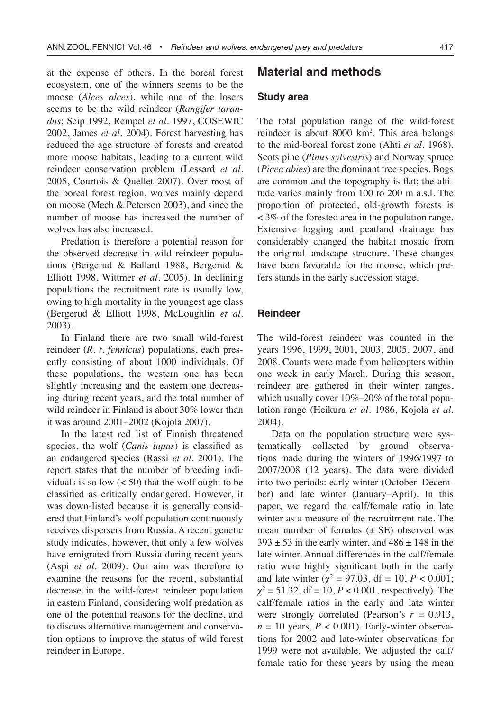at the expense of others. In the boreal forest ecosystem, one of the winners seems to be the moose (*Alces alces*), while one of the losers seems to be the wild reindeer (*Rangifer tarandus*; Seip 1992, Rempel *et al*. 1997, COSEWIC 2002, James *et al*. 2004). Forest harvesting has reduced the age structure of forests and created more moose habitats, leading to a current wild reindeer conservation problem (Lessard *et al*. 2005, Courtois & Quellet 2007). Over most of the boreal forest region, wolves mainly depend on moose (Mech & Peterson 2003), and since the number of moose has increased the number of wolves has also increased.

Predation is therefore a potential reason for the observed decrease in wild reindeer populations (Bergerud & Ballard 1988, Bergerud & Elliott 1998, Wittmer *et al*. 2005). In declining populations the recruitment rate is usually low, owing to high mortality in the youngest age class (Bergerud & Elliott 1998, McLoughlin *et al*. 2003).

In Finland there are two small wild-forest reindeer (*R. t. fennicus*) populations, each presently consisting of about 1000 individuals. Of these populations, the western one has been slightly increasing and the eastern one decreasing during recent years, and the total number of wild reindeer in Finland is about 30% lower than it was around 2001–2002 (Kojola 2007).

In the latest red list of Finnish threatened species, the wolf (*Canis lupus*) is classified as an endangered species (Rassi *et al*. 2001). The report states that the number of breeding individuals is so low  $(< 50$ ) that the wolf ought to be classified as critically endangered. However, it was down-listed because it is generally considered that Finland's wolf population continuously receives dispersers from Russia. A recent genetic study indicates, however, that only a few wolves have emigrated from Russia during recent years (Aspi *et al*. 2009). Our aim was therefore to examine the reasons for the recent, substantial decrease in the wild-forest reindeer population in eastern Finland, considering wolf predation as one of the potential reasons for the decline, and to discuss alternative management and conservation options to improve the status of wild forest reindeer in Europe.

# **Material and methods**

#### **Study area**

The total population range of the wild-forest reindeer is about 8000 km2 . This area belongs to the mid-boreal forest zone (Ahti *et al*. 1968). Scots pine (*Pinus sylvestris*) and Norway spruce (*Picea abies*) are the dominant tree species. Bogs are common and the topography is flat; the altitude varies mainly from 100 to 200 m a.s.l. The proportion of protected, old-growth forests is < 3% of the forested area in the population range. Extensive logging and peatland drainage has considerably changed the habitat mosaic from the original landscape structure. These changes have been favorable for the moose, which prefers stands in the early succession stage.

#### **Reindeer**

The wild-forest reindeer was counted in the years 1996, 1999, 2001, 2003, 2005, 2007, and 2008. Counts were made from helicopters within one week in early March. During this season, reindeer are gathered in their winter ranges, which usually cover 10%–20% of the total population range (Heikura *et al*. 1986, Kojola *et al*. 2004).

Data on the population structure were systematically collected by ground observations made during the winters of 1996/1997 to 2007/2008 (12 years). The data were divided into two periods: early winter (October–December) and late winter (January–April). In this paper, we regard the calf/female ratio in late winter as a measure of the recruitment rate. The mean number of females  $(\pm S E)$  observed was  $393 \pm 53$  in the early winter, and  $486 \pm 148$  in the late winter. Annual differences in the calf/female ratio were highly significant both in the early and late winter  $(\chi^2 = 97.03, df = 10, P < 0.001;$  $\chi^2$  = 51.32, df = 10, *P* < 0.001, respectively). The calf/female ratios in the early and late winter were strongly correlated (Pearson's  $r = 0.913$ ,  $n = 10$  years,  $P < 0.001$ ). Early-winter observations for 2002 and late-winter observations for 1999 were not available. We adjusted the calf/ female ratio for these years by using the mean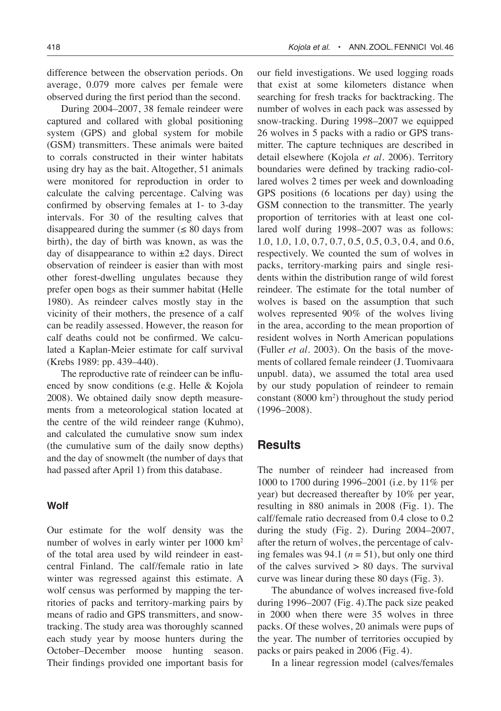difference between the observation periods. On average, 0.079 more calves per female were observed during the first period than the second.

During 2004–2007, 38 female reindeer were captured and collared with global positioning system (GPS) and global system for mobile (GSM) transmitters. These animals were baited to corrals constructed in their winter habitats using dry hay as the bait. Altogether, 51 animals were monitored for reproduction in order to calculate the calving percentage. Calving was confirmed by observing females at 1- to 3-day intervals. For 30 of the resulting calves that disappeared during the summer  $(\leq 80 \text{ days from})$ birth), the day of birth was known, as was the day of disappearance to within  $\pm 2$  days. Direct observation of reindeer is easier than with most other forest-dwelling ungulates because they prefer open bogs as their summer habitat (Helle 1980). As reindeer calves mostly stay in the vicinity of their mothers, the presence of a calf can be readily assessed. However, the reason for calf deaths could not be confirmed. We calculated a Kaplan-Meier estimate for calf survival (Krebs 1989: pp. 439–440).

The reproductive rate of reindeer can be influenced by snow conditions (e.g. Helle & Kojola 2008). We obtained daily snow depth measurements from a meteorological station located at the centre of the wild reindeer range (Kuhmo), and calculated the cumulative snow sum index (the cumulative sum of the daily snow depths) and the day of snowmelt (the number of days that had passed after April 1) from this database.

#### **Wolf**

Our estimate for the wolf density was the number of wolves in early winter per 1000 km2 of the total area used by wild reindeer in eastcentral Finland. The calf/female ratio in late winter was regressed against this estimate. A wolf census was performed by mapping the territories of packs and territory-marking pairs by means of radio and GPS transmitters, and snowtracking. The study area was thoroughly scanned each study year by moose hunters during the October–December moose hunting season. Their findings provided one important basis for

our field investigations. We used logging roads that exist at some kilometers distance when searching for fresh tracks for backtracking. The number of wolves in each pack was assessed by snow-tracking. During 1998–2007 we equipped 26 wolves in 5 packs with a radio or GPS transmitter. The capture techniques are described in detail elsewhere (Kojola *et al*. 2006). Territory boundaries were defined by tracking radio-collared wolves 2 times per week and downloading GPS positions (6 locations per day) using the GSM connection to the transmitter. The yearly proportion of territories with at least one collared wolf during 1998–2007 was as follows: 1.0, 1.0, 1.0, 0.7, 0.7, 0.5, 0.5, 0.3, 0.4, and 0.6, respectively. We counted the sum of wolves in packs, territory-marking pairs and single residents within the distribution range of wild forest reindeer. The estimate for the total number of wolves is based on the assumption that such wolves represented 90% of the wolves living in the area, according to the mean proportion of resident wolves in North American populations (Fuller *et al*. 2003). On the basis of the movements of collared female reindeer (J. Tuomivaara unpubl. data), we assumed the total area used by our study population of reindeer to remain constant (8000 km2 ) throughout the study period (1996–2008).

## **Results**

The number of reindeer had increased from 1000 to 1700 during 1996–2001 (i.e. by 11% per year) but decreased thereafter by 10% per year, resulting in 880 animals in 2008 (Fig. 1). The calf/female ratio decreased from 0.4 close to 0.2 during the study (Fig. 2). During 2004–2007, after the return of wolves, the percentage of calving females was 94.1 ( $n = 51$ ), but only one third of the calves survived  $> 80$  days. The survival curve was linear during these 80 days (Fig. 3).

The abundance of wolves increased five-fold during 1996–2007 (Fig. 4).The pack size peaked in 2000 when there were 35 wolves in three packs. Of these wolves, 20 animals were pups of the year. The number of territories occupied by packs or pairs peaked in 2006 (Fig. 4).

In a linear regression model (calves/females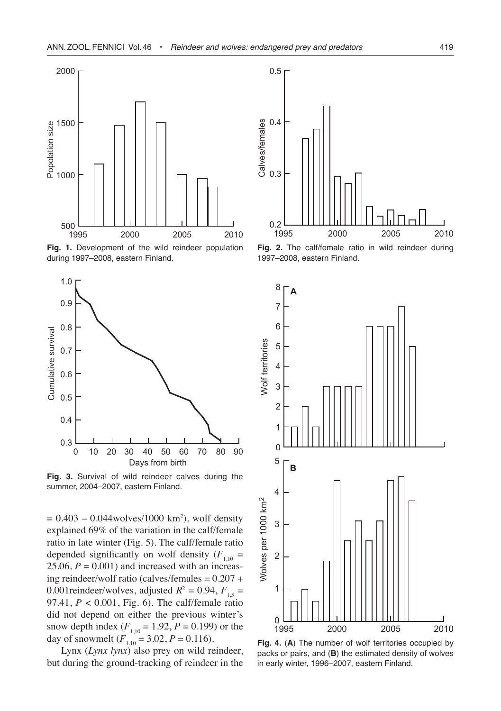

**Fig. 1.** Development of the wild reindeer population during 1997–2008, eastern Finland.



**Fig. 3.** Survival of wild reindeer calves during the summer, 2004–2007, eastern Finland.

 $= 0.403 - 0.044$ wolves/1000 km<sup>2</sup>), wolf density explained 69% of the variation in the calf/female ratio in late winter (Fig. 5). The calf/female ratio depended significantly on wolf density  $(F_{1,10} =$  $25.06$ ,  $P = 0.001$ ) and increased with an increasing reindeer/wolf ratio (calves/females  $= 0.207 +$ 0.001 reindeer/wolves, adjusted  $R^2 = 0.94$ ,  $F_{1,5} =$ 97.41, *P* < 0.001, Fig. 6). The calf/female ratio did not depend on either the previous winter's snow depth index  $(F_{1,10} = 1.92, P = 0.199)$  or the day of snowmelt  $(F_{1,10} = 3.02, P = 0.116)$ .

Lynx (*Lynx lynx*) also prey on wild reindeer, but during the ground-tracking of reindeer in the



**Fig. 2.** The calf/female ratio in wild reindeer during 1997–2008, eastern Finland.



**Fig. 4.** (**A**) The number of wolf territories occupied by packs or pairs, and (**B**) the estimated density of wolves in early winter, 1996–2007, eastern Finland.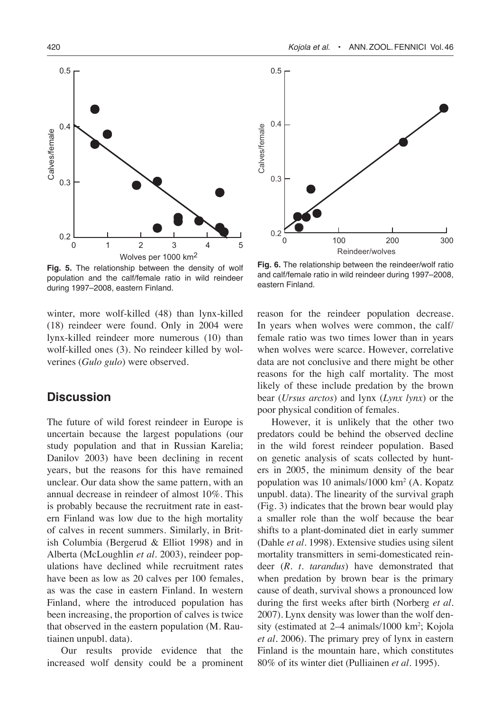

**Fig. 5.** The relationship between the density of wolf population and the calf/female ratio in wild reindeer during 1997–2008, eastern Finland.

winter, more wolf-killed (48) than lynx-killed (18) reindeer were found. Only in 2004 were lynx-killed reindeer more numerous (10) than wolf-killed ones (3). No reindeer killed by wolverines (*Gulo gulo*) were observed.

# **Discussion**

The future of wild forest reindeer in Europe is uncertain because the largest populations (our study population and that in Russian Karelia; Danilov 2003) have been declining in recent years, but the reasons for this have remained unclear. Our data show the same pattern, with an annual decrease in reindeer of almost 10%. This is probably because the recruitment rate in eastern Finland was low due to the high mortality of calves in recent summers. Similarly, in British Columbia (Bergerud & Elliot 1998) and in Alberta (McLoughlin *et al*. 2003), reindeer populations have declined while recruitment rates have been as low as 20 calves per 100 females, as was the case in eastern Finland. In western Finland, where the introduced population has been increasing, the proportion of calves is twice that observed in the eastern population (M. Rautiainen unpubl. data).

Our results provide evidence that the increased wolf density could be a prominent



**Fig. 6.** The relationship between the reindeer/wolf ratio and calf/female ratio in wild reindeer during 1997–2008, eastern Finland.

reason for the reindeer population decrease. In years when wolves were common, the calf/ female ratio was two times lower than in years when wolves were scarce. However, correlative data are not conclusive and there might be other reasons for the high calf mortality. The most likely of these include predation by the brown bear (*Ursus arctos*) and lynx (*Lynx lynx*) or the poor physical condition of females.

However, it is unlikely that the other two predators could be behind the observed decline in the wild forest reindeer population. Based on genetic analysis of scats collected by hunters in 2005, the minimum density of the bear population was 10 animals/1000 km2 (A. Kopatz unpubl. data). The linearity of the survival graph (Fig. 3) indicates that the brown bear would play a smaller role than the wolf because the bear shifts to a plant-dominated diet in early summer (Dahle *et al*. 1998). Extensive studies using silent mortality transmitters in semi-domesticated reindeer (*R. t. tarandus*) have demonstrated that when predation by brown bear is the primary cause of death, survival shows a pronounced low during the first weeks after birth (Norberg *et al*. 2007). Lynx density was lower than the wolf density (estimated at 2–4 animals/1000 km<sup>2</sup>; Kojola *et al*. 2006). The primary prey of lynx in eastern Finland is the mountain hare, which constitutes 80% of its winter diet (Pulliainen *et al*. 1995).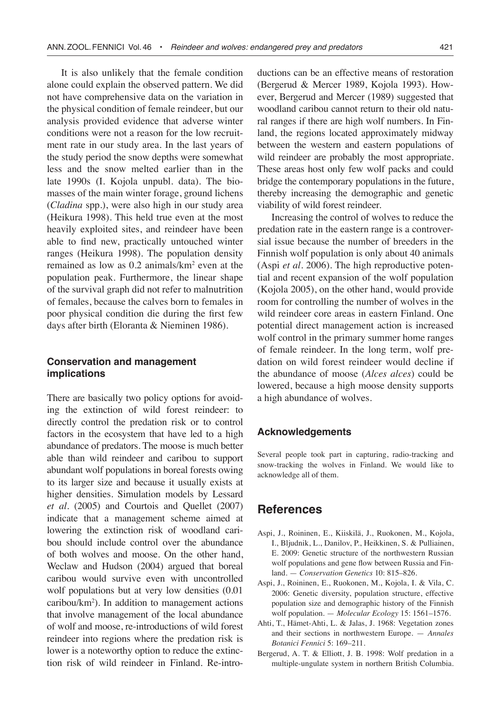It is also unlikely that the female condition alone could explain the observed pattern. We did not have comprehensive data on the variation in the physical condition of female reindeer, but our analysis provided evidence that adverse winter conditions were not a reason for the low recruitment rate in our study area. In the last years of the study period the snow depths were somewhat less and the snow melted earlier than in the late 1990s (I. Kojola unpubl. data). The biomasses of the main winter forage, ground lichens (*Cladina* spp.), were also high in our study area (Heikura 1998). This held true even at the most heavily exploited sites, and reindeer have been able to find new, practically untouched winter ranges (Heikura 1998). The population density remained as low as 0.2 animals/km2 even at the population peak. Furthermore, the linear shape of the survival graph did not refer to malnutrition of females, because the calves born to females in poor physical condition die during the first few days after birth (Eloranta & Nieminen 1986).

### **Conservation and management implications**

There are basically two policy options for avoiding the extinction of wild forest reindeer: to directly control the predation risk or to control factors in the ecosystem that have led to a high abundance of predators. The moose is much better able than wild reindeer and caribou to support abundant wolf populations in boreal forests owing to its larger size and because it usually exists at higher densities. Simulation models by Lessard *et al*. (2005) and Courtois and Quellet (2007) indicate that a management scheme aimed at lowering the extinction risk of woodland caribou should include control over the abundance of both wolves and moose. On the other hand, Weclaw and Hudson (2004) argued that boreal caribou would survive even with uncontrolled wolf populations but at very low densities (0.01 caribou/km2 ). In addition to management actions that involve management of the local abundance of wolf and moose, re-introductions of wild forest reindeer into regions where the predation risk is lower is a noteworthy option to reduce the extinction risk of wild reindeer in Finland. Re-introductions can be an effective means of restoration (Bergerud & Mercer 1989, Kojola 1993). However, Bergerud and Mercer (1989) suggested that woodland caribou cannot return to their old natural ranges if there are high wolf numbers. In Finland, the regions located approximately midway between the western and eastern populations of wild reindeer are probably the most appropriate. These areas host only few wolf packs and could bridge the contemporary populations in the future, thereby increasing the demographic and genetic viability of wild forest reindeer.

Increasing the control of wolves to reduce the predation rate in the eastern range is a controversial issue because the number of breeders in the Finnish wolf population is only about 40 animals (Aspi *et al*. 2006). The high reproductive potential and recent expansion of the wolf population (Kojola 2005), on the other hand, would provide room for controlling the number of wolves in the wild reindeer core areas in eastern Finland. One potential direct management action is increased wolf control in the primary summer home ranges of female reindeer. In the long term, wolf predation on wild forest reindeer would decline if the abundance of moose (*Alces alces*) could be lowered, because a high moose density supports a high abundance of wolves.

#### **Acknowledgements**

Several people took part in capturing, radio-tracking and snow-tracking the wolves in Finland. We would like to acknowledge all of them.

## **References**

- Aspi, J., Roininen, E., Kiiskilä, J., Ruokonen, M., Kojola, I., Bljudnik, L., Danilov, P., Heikkinen, S. & Pulliainen, E. 2009: Genetic structure of the northwestern Russian wolf populations and gene flow between Russia and Finland. — *Conservation Genetics* 10: 815–826.
- Aspi, J., Roininen, E., Ruokonen, M., Kojola, I. & Vila, C. 2006: Genetic diversity, population structure, effective population size and demographic history of the Finnish wolf population. — *Molecular Ecology* 15: 1561–1576.
- Ahti, T., Hämet-Ahti, L. & Jalas, J. 1968: Vegetation zones and their sections in northwestern Europe. — *Annales Botanici Fennici* 5: 169–211.
- Bergerud, A. T. & Elliott, J. B. 1998: Wolf predation in a multiple-ungulate system in northern British Columbia.